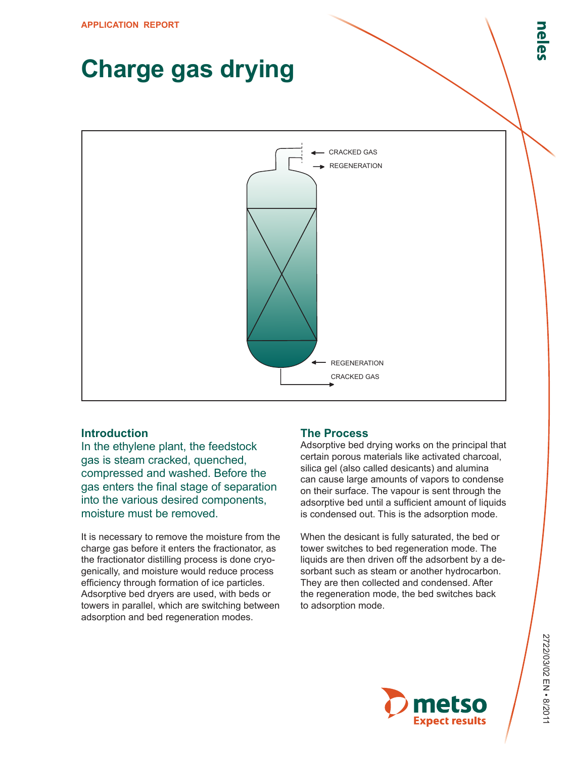## **Charge gas drying**



## **Introduction**

In the ethylene plant, the feedstock gas is steam cracked, quenched, compressed and washed. Before the gas enters the final stage of separation into the various desired components, moisture must be removed.

It is necessary to remove the moisture from the charge gas before it enters the fractionator, as the fractionator distilling process is done cryogenically, and moisture would reduce process efficiency through formation of ice particles. Adsorptive bed dryers are used, with beds or towers in parallel, which are switching between adsorption and bed regeneration modes.

## **The Process**

Adsorptive bed drying works on the principal that certain porous materials like activated charcoal, silica gel (also called desicants) and alumina can cause large amounts of vapors to condense on their surface. The vapour is sent through the adsorptive bed until a sufficient amount of liquids is condensed out. This is the adsorption mode.

When the desicant is fully saturated, the bed or tower switches to bed regeneration mode. The liquids are then driven off the adsorbent by a desorbant such as steam or another hydrocarbon. They are then collected and condensed. After the regeneration mode, the bed switches back to adsorption mode.